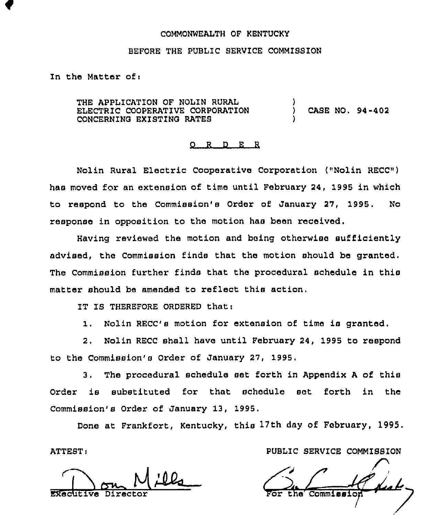### COMMONWEALTH OF KENTUCKY

#### BEFORE THE PUBLIC SERVICE COMMISSION

In the Matter of:

THE APPLICATION OF NOLIN RURAL ELECTRIC COOPERATIVE CORPORATION CONCERNING EXISTING RATES ) ) CASE NO. 94-402 )

### 0 R <sup>D</sup> E <sup>R</sup>

Nolin Rural Electric Cooperative Corporation ("Nolin RECC") has moved for an extension of time until February 24, 1995 in which to respond to the Commission's Order of January 27, 1995. No response in opposition to the motion has been received.

Having reviewed the motion and being otherwise sufficiently advised, the Commission finds that the motion should be granted. The Commission further finds that the procedural schedule in this matter should be amended to reflect this action.

IT IS THEREFORE ORDERED thati

1. Nolin RECC's motion for extension of time is granted.

2. Nolin RECC shall have until February 24, 1995 to respond to the Commission's Order of January 27, 1995.

3. The procedural schedule set forth in Appendix <sup>A</sup> of this Order is substituted for that schedule set forth in the Commission's Order of January 13, 1995.

Done at Frankfort, Kentucky, this 17th day of February, 1995.

 $\frac{1}{\frac{1}{\sqrt{2}}\sqrt{1-\frac{1}{\sqrt{2}}}}$ 

ATTEST: PUBLIC SERVICE COMMISBION